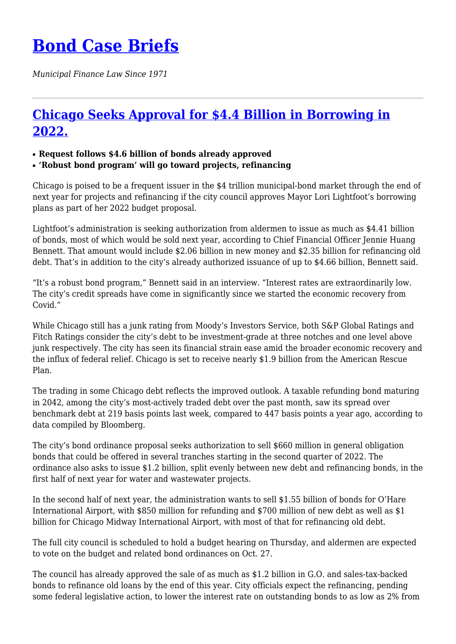## **[Bond Case Briefs](https://bondcasebriefs.com)**

*Municipal Finance Law Since 1971*

## **[Chicago Seeks Approval for \\$4.4 Billion in Borrowing in](https://bondcasebriefs.com/2021/10/19/news/chicago-seeks-approval-for-4-4-billion-in-borrowing-in-2022/) [2022.](https://bondcasebriefs.com/2021/10/19/news/chicago-seeks-approval-for-4-4-billion-in-borrowing-in-2022/)**

- **Request follows \$4.6 billion of bonds already approved**
- **'Robust bond program' will go toward projects, refinancing**

Chicago is poised to be a frequent issuer in the \$4 trillion municipal-bond market through the end of next year for projects and refinancing if the city council approves Mayor Lori Lightfoot's borrowing plans as part of her 2022 budget proposal.

Lightfoot's administration is seeking authorization from aldermen to issue as much as \$4.41 billion of bonds, most of which would be sold next year, according to Chief Financial Officer Jennie Huang Bennett. That amount would include \$2.06 billion in new money and \$2.35 billion for refinancing old debt. That's in addition to the city's already authorized issuance of up to \$4.66 billion, Bennett said.

"It's a robust bond program," Bennett said in an interview. "Interest rates are extraordinarily low. The city's credit spreads have come in significantly since we started the economic recovery from Covid."

While Chicago still has a junk rating from Moody's Investors Service, both S&P Global Ratings and Fitch Ratings consider the city's debt to be investment-grade at three notches and one level above junk respectively. The city has seen its financial strain ease amid the broader economic recovery and the influx of federal relief. Chicago is set to receive nearly \$1.9 billion from the American Rescue Plan.

The trading in some Chicago debt reflects the improved outlook. A taxable refunding bond maturing in 2042, among the city's most-actively traded debt over the past month, saw its spread over benchmark debt at 219 basis points last week, compared to 447 basis points a year ago, according to data compiled by Bloomberg.

The city's bond ordinance proposal seeks authorization to sell \$660 million in general obligation bonds that could be offered in several tranches starting in the second quarter of 2022. The ordinance also asks to issue \$1.2 billion, split evenly between new debt and refinancing bonds, in the first half of next year for water and wastewater projects.

In the second half of next year, the administration wants to sell \$1.55 billion of bonds for O'Hare International Airport, with \$850 million for refunding and \$700 million of new debt as well as \$1 billion for Chicago Midway International Airport, with most of that for refinancing old debt.

The full city council is scheduled to hold a budget hearing on Thursday, and aldermen are expected to vote on the budget and related bond ordinances on Oct. 27.

The council has already approved the sale of as much as \$1.2 billion in G.O. and sales-tax-backed bonds to refinance old loans by the end of this year. City officials expect the refinancing, pending some federal legislative action, to lower the interest rate on outstanding bonds to as low as 2% from